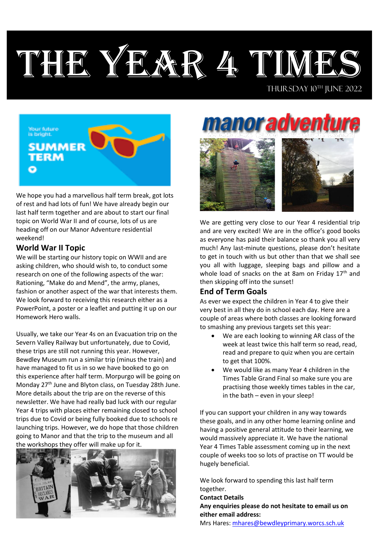# THE YEAR 4 TIMES

Your future<br>is bright. **SUMMER TERM** Ō

We hope you had a marvellous half term break, got lots of rest and had lots of fun! We have already begin our last half term together and are about to start our final topic on World War II and of course, lots of us are heading off on our Manor Adventure residential weekend!

### **World War II Topic**

We will be starting our history topic on WWII and are asking children, who should wish to, to conduct some research on one of the following aspects of the war: Rationing, "Make do and Mend", the army, planes, fashion or another aspect of the war that interests them. We look forward to receiving this research either as a PowerPoint, a poster or a leaflet and putting it up on our Homework Hero walls.

Usually, we take our Year 4s on an Evacuation trip on the Severn Valley Railway but unfortunately, due to Covid, these trips are still not running this year. However, Bewdley Museum run a similar trip (minus the train) and have managed to fit us in so we have booked to go on this experience after half term. Morpurgo will be going on Monday 27<sup>th</sup> June and Blyton class, on Tuesday 28th June. More details about the trip are on the reverse of this newsletter. We have had really bad luck with our regular Year 4 trips with places either remaining closed to school trips due to Covid or being fully booked due to schools re launching trips. However, we do hope that those children going to Manor and that the trip to the museum and all the workshops they offer will make up for it.



**anor advent** 



We are getting very close to our Year 4 residential trip and are very excited! We are in the office's good books as everyone has paid their balance so thank you all very much! Any last-minute questions, please don't hesitate to get in touch with us but other than that we shall see you all with luggage, sleeping bags and pillow and a whole load of snacks on the at 8am on Friday 17<sup>th</sup> and then skipping off into the sunset!

## **End of Term Goals**

As ever we expect the children in Year 4 to give their very best in all they do in school each day. Here are a couple of areas where both classes are looking forward to smashing any previous targets set this year:

- We are each looking to winning AR class of the week at least twice this half term so read, read, read and prepare to quiz when you are certain to get that 100%.
- We would like as many Year 4 children in the Times Table Grand Final so make sure you are practising those weekly times tables in the car, in the bath – even in your sleep!

If you can support your children in any way towards these goals, and in any other home learning online and having a positive general attitude to their learning, we would massively appreciate it. We have the national Year 4 Times Table assessment coming up in the next couple of weeks too so lots of practise on TT would be hugely beneficial.

We look forward to spending this last half term together.

**Contact Details** 

**Any enquiries please do not hesitate to email us on either email address:**

Mrs Hares: [mhares@bewdleyprimary.worcs.sch.uk](mailto:mhares@bewdleyprimary.worcs.sch.uk)